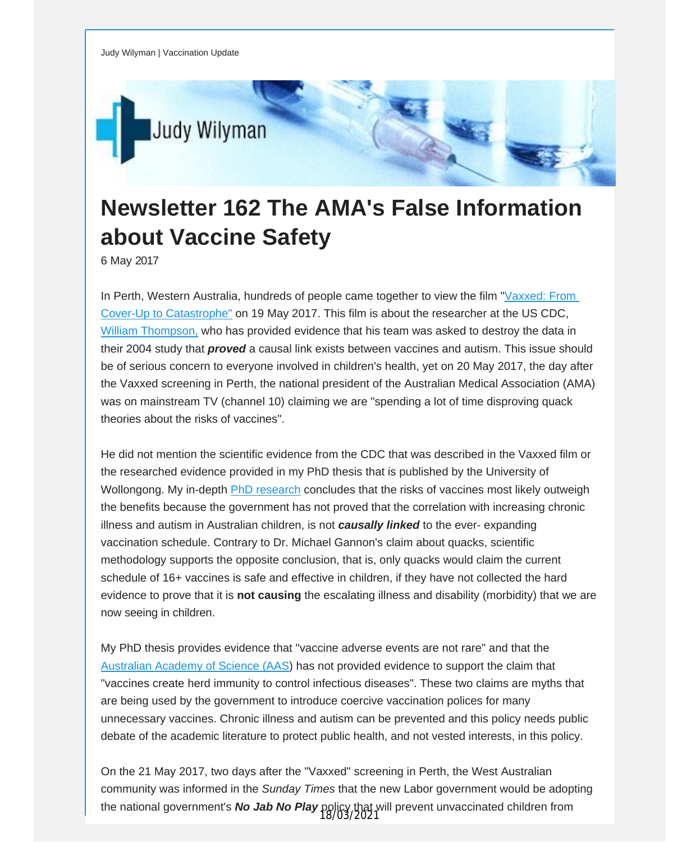

## **Newsletter 162 The AMA's False Information about Vaccine Safety**

6 May 2017

In Perth, Western Australia, hundreds of people came together to view the film "[Vaxxed:](http://vaccinationdecisions.us8.list-manage.com/track/click?u=f20605fde3732e41929f4a3f2&id=b096023c97&e=fec8337d3c) From Cover-Up to [Catastrophe](http://vaccinationdecisions.us8.list-manage.com/track/click?u=f20605fde3732e41929f4a3f2&id=b096023c97&e=fec8337d3c)["](http://vaccinationdecisions.us8.list-manage.com/track/click?u=f20605fde3732e41929f4a3f2&id=507ebbbb80&e=fec8337d3c) on 19 May 2017. This film is about the researcher at the US CDC, William [Thompson,](http://vaccinationdecisions.us8.list-manage.com/track/click?u=f20605fde3732e41929f4a3f2&id=7d67f274b2&e=fec8337d3c) who has provided evidence that his team was asked to destroy the data in their 2004 study that *proved* a causal link exists between vaccines and autism. This issue should be of serious concern to everyone involved in children's health, yet on 20 May 2017, the day after the Vaxxed screening in Perth, the national president of the Australian Medical Association (AMA) was on mainstream TV (channel 10) claiming we are "spending a lot of time disproving quack theories about the risks of vaccines".

He did not mention the scientific evidence from the CDC that was described in the Vaxxed film or the researched evidence provided in my PhD thesis that is published by the University of Wollongong. My in-depth PhD [research](http://vaccinationdecisions.us8.list-manage.com/track/click?u=f20605fde3732e41929f4a3f2&id=3855e8216b&e=fec8337d3c) concludes that the risks of vaccines most likely outweigh the benefits because the government has not proved that the correlation with increasing chronic illness and autism in Australian children, is not *causally linked* to the ever- expanding vaccination schedule. Contrary to Dr. Michael Gannon's claim about quacks, scientific methodology supports the opposite conclusion, that is, only quacks would claim the current schedule of 16+ vaccines is safe and effective in children, if they have not collected the hard evidence to prove that it is **not causing** the escalating illness and disability (morbidity) that we are now seeing in children.

My PhD thesis provides evidence that "vaccine adverse events are not rare" and that the [Australian](http://vaccinationdecisions.us8.list-manage.com/track/click?u=f20605fde3732e41929f4a3f2&id=3c53d6fb51&e=fec8337d3c) Academy of Science (AAS) has not provided evidence to support the claim that "vaccines create herd immunity to control infectious diseases". These two claims are myths that are being used by the government to introduce coercive vaccination polices for many unnecessary vaccines. Chronic illness and autism can be prevented and this policy needs public debate of the academic literature to protect public health, and not vested interests, in this policy.

On the 21 May 2017, two days after the "Vaxxed" screening in Perth, the West Australian community was informed in the *Sunday Times* that the new Labor government would be adopting the national government's *No Jab No Play* policy that will prevent unvaccinated children from 18/03/2021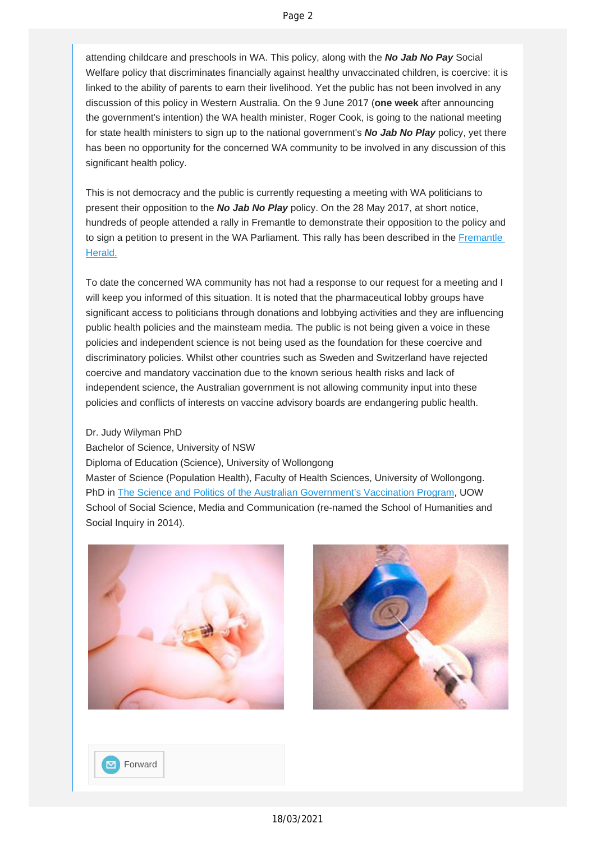attending childcare and preschools in WA. This policy, along with the *No Jab No Pay* Social Welfare policy that discriminates financially against healthy unvaccinated children, is coercive: it is linked to the ability of parents to earn their livelihood. Yet the public has not been involved in any discussion of this policy in Western Australia. On the 9 June 2017 (**one week** after announcing the government's intention) the WA health minister, Roger Cook, is going to the national meeting for state health ministers to sign up to the national government's *No Jab No Play* policy, yet there has been no opportunity for the concerned WA community to be involved in any discussion of this significant health policy.

This is not democracy and the public is currently requesting a meeting with WA politicians to present their opposition to the *No Jab No Play* policy. On the 28 May 2017, at short notice, hundreds of people attended a rally in Fremantle to demonstrate their opposition to the policy and to sign a petition to present in the WA Parliament. This rally has been described in the [Fremantle](http://vaccinationdecisions.us8.list-manage1.com/track/click?u=f20605fde3732e41929f4a3f2&id=6e61ca6d71&e=fec8337d3c)  [Herald.](http://vaccinationdecisions.us8.list-manage1.com/track/click?u=f20605fde3732e41929f4a3f2&id=6e61ca6d71&e=fec8337d3c)

To date the concerned WA community has not had a response to our request for a meeting and I will keep you informed of this situation. It is noted that the pharmaceutical lobby groups have significant access to politicians through donations and lobbying activities and they are influencing public health policies and the mainsteam media. The public is not being given a voice in these policies and independent science is not being used as the foundation for these coercive and discriminatory policies. Whilst other countries such as Sweden and Switzerland have rejected coercive and mandatory vaccination due to the known serious health risks and lack of independent science, the Australian government is not allowing community input into these policies and conflicts of interests on vaccine advisory boards are endangering public health.

## Dr. Judy Wilyman PhD

Bachelor of Science, University of NSW Diploma of Education (Science), University of Wollongong Master of Science (Population Health), Faculty of Health Sciences, University of Wollongong. PhD in [The Science and Politics of the Australian Government's Vaccination Program](http://vaccinationdecisions.us8.list-manage.com/track/click?u=f20605fde3732e41929f4a3f2&id=d640576357&e=fec8337d3c), UOW School of Social Science, Media and Communication (re-named the School of Humanities and Social Inquiry in 2014).